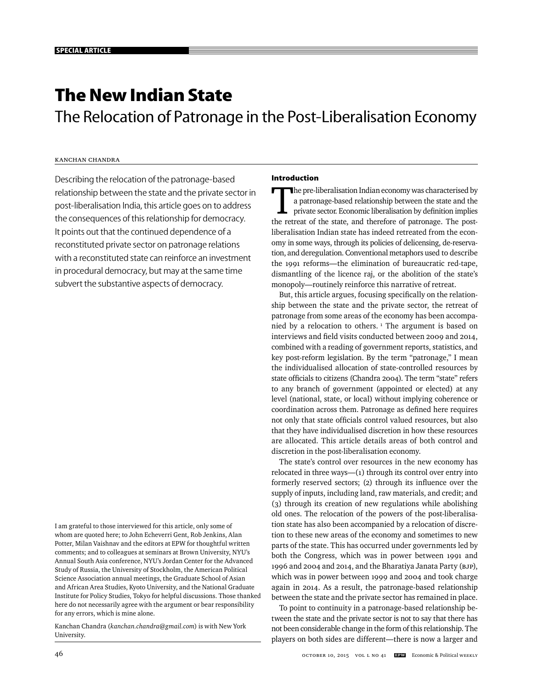# **The New Indian State**

The Relocation of Patronage in the Post-Liberalisation Economy

# Kanchan Chandra

Describing the relocation of the patronage-based relationship between the state and the private sector in post-liberalisation India, this article goes on to address the consequences of this relationship for democracy. It points out that the continued dependence of a reconstituted private sector on patronage relations with a reconstituted state can reinforce an investment in procedural democracy, but may at the same time subvert the substantive aspects of democracy.

I am grateful to those interviewed for this article, only some of whom are quoted here; to John Echeverri Gent, Rob Jenkins, Alan Potter, Milan Vaishnav and the editors at EPW for thoughtful written comments; and to colleagues at seminars at Brown University, NYU's Annual South Asia conference, NYU's Jordan Center for the Advanced Study of Russia, the University of Stockholm, the American Political Science Association annual meetings, the Graduate School of Asian and African Area Studies, Kyoto University, and the National Graduate Institute for Policy Studies, Tokyo for helpful discussions. Those thanked here do not necessarily agree with the argument or bear responsibility for any errors, which is mine alone.

Kanchan Chandra (*kanchan.chandra@gmail.com*) is with New York University.

# **Introduction**

The pre-liberalisation Indian economy was characterised by<br>a patronage-based relationship between the state and the<br>private sector. Economic liberalisation by definition implies<br>the retreat of the state, and therefore of p a patronage-based relationship between the state and the private sector. Economic liberalisation by definition implies the retreat of the state, and therefore of patronage. The postliberalisation Indian state has indeed retreated from the economy in some ways, through its policies of delicensing, de-reservation, and deregulation. Conventional metaphors used to describe the 1991 reforms—the elimination of bureaucratic red-tape, dismantling of the licence raj, or the abolition of the state's monopoly—routinely reinforce this narrative of retreat.

But, this article argues, focusing specifically on the relationship between the state and the private sector, the retreat of patronage from some areas of the economy has been accompanied by a relocation to others.<sup>1</sup> The argument is based on interviews and field visits conducted between 2009 and 2014, combined with a reading of government reports, statistics, and key post-reform legislation. By the term "patronage," I mean the individualised allocation of state-controlled resources by state officials to citizens (Chandra 2004). The term "state" refers to any branch of government (appointed or elected) at any level (national, state, or local) without implying coherence or coordination across them. Patronage as defined here requires not only that state officials control valued resources, but also that they have individualised discretion in how these resources are allocated. This article details areas of both control and discretion in the post-liberalisation economy.

The state's control over resources in the new economy has relocated in three ways—(1) through its control over entry into formerly reserved sectors; (2) through its influence over the supply of inputs, including land, raw materials, and credit; and (3) through its creation of new regulations while abolishing old ones. The relocation of the powers of the post-liberalisation state has also been accompanied by a relocation of discretion to these new areas of the economy and sometimes to new parts of the state. This has occurred under governments led by both the Congress, which was in power between 1991 and 1996 and 2004 and 2014, and the Bharatiya Janata Party (BJP), which was in power between 1999 and 2004 and took charge again in 2014. As a result, the patronage-based relationship between the state and the private sector has remained in place.

To point to continuity in a patronage-based relationship between the state and the private sector is not to say that there has not been considerable change in the form of this relationship. The players on both sides are different—there is now a larger and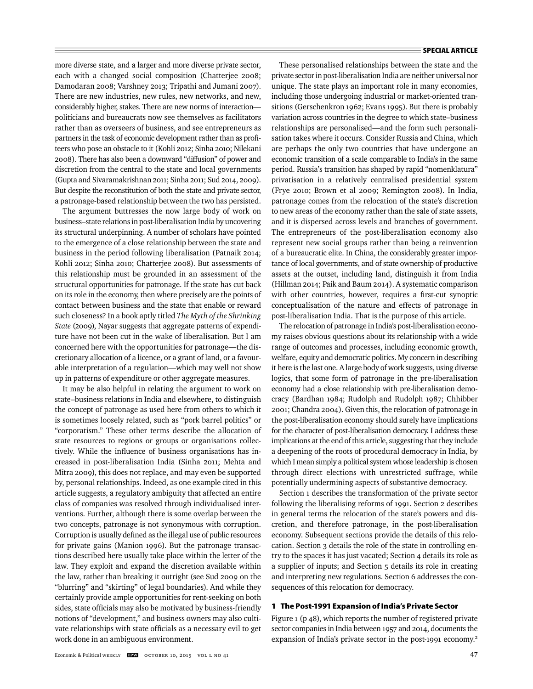more diverse state, and a larger and more diverse private sector, each with a changed social composition (Chatterjee 2008; Damodaran 2008; Varshney 2013; Tripathi and Jumani 2007). There are new industries, new rules, new networks, and new, considerably higher, stakes. There are new norms of interaction politicians and bureaucrats now see themselves as facilitators rather than as overseers of business, and see entrepreneurs as partners in the task of economic development rather than as profiteers who pose an obstacle to it (Kohli 2012; Sinha 2010; Nilekani 2008). There has also been a downward "diffusion" of power and discretion from the central to the state and local governments (Gupta and Sivaramakrishnan 2011; Sinha 2011; Sud 2014, 2009). But despite the reconstitution of both the state and private sector, a patronage-based relationship between the two has persisted.

The argument buttresses the now large body of work on business–state relations in post-liberalisation India by uncovering its structural underpinning. A number of scholars have pointed to the emergence of a close relationship between the state and business in the period following liberalisation (Patnaik 2014; Kohli 2012; Sinha 2010; Chatterjee 2008). But assessments of this relationship must be grounded in an assessment of the structural opportunities for patronage. If the state has cut back on its role in the economy, then where precisely are the points of contact between business and the state that enable or reward such closeness? In a book aptly titled *The Myth of the Shrinking State* (2009), Nayar suggests that aggregate patterns of expenditure have not been cut in the wake of liberalisation. But I am concerned here with the opportunities for patronage—the discretionary allocation of a licence, or a grant of land, or a favourable interpretation of a regulation—which may well not show up in patterns of expenditure or other aggregate measures.

It may be also helpful in relating the argument to work on state–business relations in India and elsewhere, to distinguish the concept of patronage as used here from others to which it is sometimes loosely related, such as "pork barrel politics" or "corporatism." These other terms describe the allocation of state resources to regions or groups or organisations collectively. While the influence of business organisations has increased in post-liberalisation India (Sinha 2011; Mehta and Mitra 2009), this does not replace, and may even be supported by, personal relationships. Indeed, as one example cited in this article suggests, a regulatory ambiguity that affected an entire class of companies was resolved through individualised interventions. Further, although there is some overlap between the two concepts, patronage is not synonymous with corruption. Corruption is usually defined as the illegal use of public resources for private gains (Manion 1996). But the patronage transactions described here usually take place within the letter of the law. They exploit and expand the discretion available within the law, rather than breaking it outright (see Sud 2009 on the "blurring" and "skirting" of legal boundaries). And while they certainly provide ample opportunities for rent-seeking on both sides, state officials may also be motivated by business-friendly notions of "development," and business owners may also cultivate relationships with state officials as a necessary evil to get work done in an ambiguous environment.

These personalised relationships between the state and the private sector in post-liberalisation India are neither universal nor unique. The state plays an important role in many economies, including those undergoing industrial or market-oriented transitions (Gerschenkron 1962; Evans 1995). But there is probably variation across countries in the degree to which state–business relationships are personalised—and the form such personalisation takes where it occurs. Consider Russia and China, which are perhaps the only two countries that have undergone an economic transition of a scale comparable to India's in the same period. Russia's transition has shaped by rapid "nomenklatura" privatisation in a relatively centralised presidential system (Frye 2010; Brown et al 2009; Remington 2008). In India, patronage comes from the relocation of the state's discretion to new areas of the economy rather than the sale of state assets, and it is dispersed across levels and branches of government. The entrepreneurs of the post-liberalisation economy also represent new social groups rather than being a reinvention of a bureaucratic elite. In China, the considerably greater importance of local governments, and of state ownership of productive assets at the outset, including land, distinguish it from India (Hillman 2014; Paik and Baum 2014). A systematic comparison with other countries, however, requires a first-cut synoptic conceptualisation of the nature and effects of patronage in post-liberalisation India. That is the purpose of this article.

The relocation of patronage in India's post-liberalisation economy raises obvious questions about its relationship with a wide range of outcomes and processes, including economic growth, welfare, equity and democratic politics. My concern in describing it here is the last one. A large body of work suggests, using diverse logics, that some form of patronage in the pre-liberalisation economy had a close relationship with pre-liberalisation democracy (Bardhan 1984; Rudolph and Rudolph 1987; Chhibber 2001; Chandra 2004). Given this, the relocation of patronage in the post-liberalisation economy should surely have implications for the character of post-liberalisation democracy. I address these implications at the end of this article, suggesting that they include a deepening of the roots of procedural democracy in India, by which I mean simply a political system whose leadership is chosen through direct elections with unrestricted suffrage, while potentially undermining aspects of substantive democracy.

Section 1 describes the transformation of the private sector following the liberalising reforms of 1991. Section 2 describes in general terms the relocation of the state's powers and discretion, and therefore patronage, in the post-liberalisation economy. Subsequent sections provide the details of this relocation. Section 3 details the role of the state in controlling entry to the spaces it has just vacated; Section 4 details its role as a supplier of inputs; and Section 5 details its role in creating and interpreting new regulations. Section 6 addresses the consequences of this relocation for democracy.

# **1 The Post-1991 Expansion of India's Private Sector**

Figure 1 (p 48), which reports the number of registered private sector companies in India between 1957 and 2014, documents the expansion of India's private sector in the post-1991 economy.<sup>2</sup>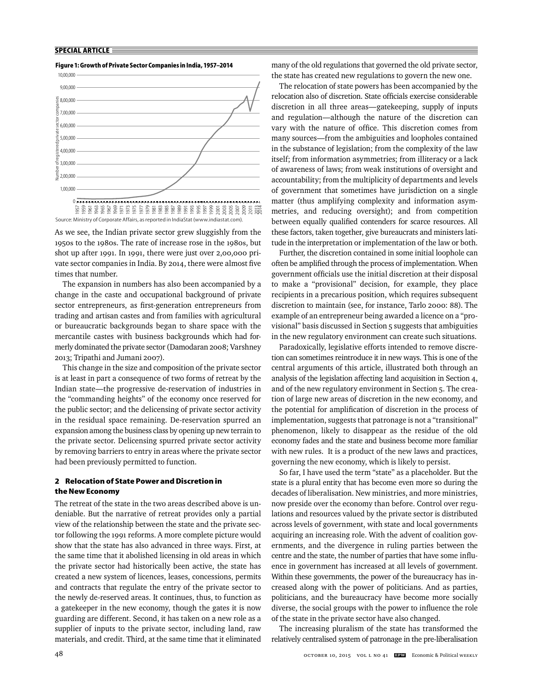## **Figure 1: Growth of Private Sector Companies in India, 1957–2014**



As we see, the Indian private sector grew sluggishly from the 1950s to the 1980s. The rate of increase rose in the 1980s, but shot up after 1991. In 1991, there were just over 2,00,000 private sector companies in India. By 2014, there were almost five times that number.

The expansion in numbers has also been accompanied by a change in the caste and occupational background of private sector entrepreneurs, as first-generation entrepreneurs from trading and artisan castes and from families with agricultural or bureaucratic backgrounds began to share space with the mercantile castes with business backgrounds which had formerly dominated the private sector (Damodaran 2008; Varshney 2013; Tripathi and Jumani 2007).

This change in the size and composition of the private sector is at least in part a consequence of two forms of retreat by the Indian state—the progressive de-reservation of industries in the "commanding heights" of the economy once reserved for the public sector; and the delicensing of private sector activity in the residual space remaining. De-reservation spurred an expansion among the business class by opening up new terrain to the private sector. Delicensing spurred private sector activity by removing barriers to entry in areas where the private sector had been previously permitted to function.

# **2 Relocation of State Power and Discretion in the New Economy**

The retreat of the state in the two areas described above is undeniable. But the narrative of retreat provides only a partial view of the relationship between the state and the private sector following the 1991 reforms. A more complete picture would show that the state has also advanced in three ways. First, at the same time that it abolished licensing in old areas in which the private sector had historically been active, the state has created a new system of licences, leases, concessions, permits and contracts that regulate the entry of the private sector to the newly de-reserved areas. It continues, thus, to function as a gatekeeper in the new economy, though the gates it is now guarding are different. Second, it has taken on a new role as a supplier of inputs to the private sector, including land, raw materials, and credit. Third, at the same time that it eliminated

many of the old regulations that governed the old private sector, the state has created new regulations to govern the new one.

The relocation of state powers has been accompanied by the relocation also of discretion. State officials exercise considerable discretion in all three areas—gatekeeping, supply of inputs and regulation—although the nature of the discretion can vary with the nature of office. This discretion comes from many sources—from the ambiguities and loopholes contained in the substance of legislation; from the complexity of the law itself; from information asymmetries; from illiteracy or a lack of awareness of laws; from weak institutions of oversight and accountability; from the multiplicity of departments and levels of government that sometimes have jurisdiction on a single matter (thus amplifying complexity and information asymmetries, and reducing oversight); and from competition between equally qualified contenders for scarce resources. All these factors, taken together, give bureaucrats and ministers latitude in the interpretation or implementation of the law or both.

Further, the discretion contained in some initial loophole can often be amplified through the process of implementation. When government officials use the initial discretion at their disposal to make a "provisional" decision, for example, they place recipients in a precarious position, which requires subsequent discretion to maintain (see, for instance, Tarlo 2000: 88). The example of an entrepreneur being awarded a licence on a "provisional" basis discussed in Section 5 suggests that ambiguities in the new regulatory environment can create such situations.

Paradoxically, legislative efforts intended to remove discretion can sometimes reintroduce it in new ways. This is one of the central arguments of this article, illustrated both through an analysis of the legislation affecting land acquisition in Section 4, and of the new regulatory environment in Section 5. The creation of large new areas of discretion in the new economy, and the potential for amplification of discretion in the process of implementation, suggests that patronage is not a "transitional" phenomenon, likely to disappear as the residue of the old economy fades and the state and business become more familiar with new rules. It is a product of the new laws and practices, governing the new economy, which is likely to persist.

So far, I have used the term "state" as a placeholder. But the state is a plural entity that has become even more so during the decades of liberalisation. New ministries, and more ministries, now preside over the economy than before. Control over regulations and resources valued by the private sector is distributed across levels of government, with state and local governments acquiring an increasing role. With the advent of coalition governments, and the divergence in ruling parties between the centre and the state, the number of parties that have some influence in government has increased at all levels of government. Within these governments, the power of the bureaucracy has increased along with the power of politicians. And as parties, politicians, and the bureaucracy have become more socially diverse, the social groups with the power to influence the role of the state in the private sector have also changed.

The increasing pluralism of the state has transformed the relatively centralised system of patronage in the pre-liberalisation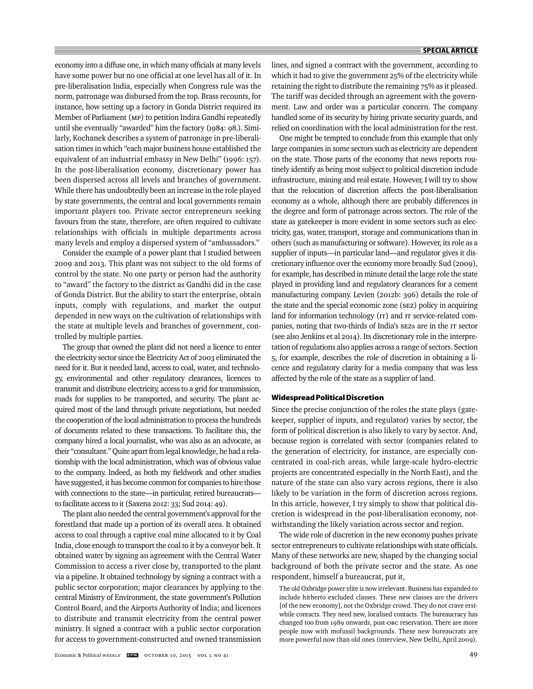economy into a diffuse one, in which many officials at many levels have some power but no one official at one level has all of it. In pre-liberalisation India, especially when Congress rule was the norm, patronage was disbursed from the top. Brass recounts, for instance, how setting up a factory in Gonda District required its Member of Parliament (MP) to petition Indira Gandhi repeatedly until she eventually "awarded" him the factory (1984: 98.). Similarly, Kochanek describes a system of patronage in pre-liberalisation times in which "each major business house established the equivalent of an industrial embassy in New Delhi" (1996: 157). In the post-liberalisation economy, discretionary power has been dispersed across all levels and branches of government. While there has undoubtedly been an increase in the role played by state governments, the central and local governments remain important players too. Private sector entrepreneurs seeking favours from the state, therefore, are often required to cultivate relationships with officials in multiple departments across many levels and employ a dispersed system of "ambassadors."

Consider the example of a power plant that I studied between 2009 and 2013. This plant was not subject to the old forms of control by the state. No one party or person had the authority to "award" the factory to the district as Gandhi did in the case of Gonda District. But the ability to start the enterprise, obtain inputs, comply with regulations, and market the output depended in new ways on the cultivation of relationships with the state at multiple levels and branches of government, controlled by multiple parties.

The group that owned the plant did not need a licence to enter the electricity sector since the Electricity Act of 2003 eliminated the need for it. But it needed land, access to coal, water, and technology, environmental and other regulatory clearances, licences to transmit and distribute electricity, access to a grid for transmission, roads for supplies to be transported, and security. The plant acquired most of the land through private negotiations, but needed the cooperation of the local administration to process the hundreds of documents related to these transactions. To facilitate this, the company hired a local journalist, who was also as an advocate, as their "consultant." Quite apart from legal knowledge, he had a relationship with the local administration, which was of obvious value to the company. Indeed, as both my fieldwork and other studies have suggested, it has become common for companies to hire those with connections to the state—in particular, retired bureaucrats to facilitate access to it (Saxena 2012: 33; Sud 2014: 49).

The plant also needed the central government's approval for the forestland that made up a portion of its overall area. It obtained access to coal through a captive coal mine allocated to it by Coal India, close enough to transport the coal to it by a conveyor belt. It obtained water by signing an agreement with the Central Water Commission to access a river close by, transported to the plant via a pipeline. It obtained technology by signing a contract with a public sector corporation; major clearances by applying to the central Ministry of Environment, the state government's Pollution Control Board, and the Airports Authority of India; and licences to distribute and transmit electricity from the central power ministry. It signed a contract with a public sector corporation for access to government-constructed and owned transmission

lines, and signed a contract with the government, according to which it had to give the government 25% of the electricity while retaining the right to distribute the remaining 75% as it pleased. The tariff was decided through an agreement with the government. Law and order was a particular concern. The company handled some of its security by hiring private security guards, and relied on coordination with the local administration for the rest.

One might be tempted to conclude from this example that only large companies in some sectors such as electricity are dependent on the state. Those parts of the economy that news reports routinely identify as being most subject to political discretion include infrastructure, mining and real estate. However, I will try to show that the relocation of discretion affects the post-liberalisation economy as a whole, although there are probably differences in the degree and form of patronage across sectors. The role of the state as gatekeeper is more evident in some sectors such as electricity, gas, water, transport, storage and communications than in others (such as manufacturing or software). However, its role as a supplier of inputs—in particular land—and regulator gives it discretionary influence over the economy more broadly. Sud (2009), for example, has described in minute detail the large role the state played in providing land and regulatory clearances for a cement manufacturing company. Levien (2012b: 396) details the role of the state and the special economic zone (SEZ) policy in acquiring land for information technology (IT) and IT service-related companies, noting that two-thirds of India's SEZs are in the IT sector (see also Jenkins et al 2014). Its discretionary role in the interpretation of regulations also applies across a range of sectors. Section 5, for example, describes the role of discretion in obtaining a licence and regulatory clarity for a media company that was less affected by the role of the state as a supplier of land.

# **Widespread Political Discretion**

Since the precise conjunction of the roles the state plays (gatekeeper, supplier of inputs, and regulator) varies by sector, the form of political discretion is also likely to vary by sector. And, because region is correlated with sector (companies related to the generation of electricity, for instance, are especially concentrated in coal-rich areas, while large-scale hydro-electric projects are concentrated especially in the North East), and the nature of the state can also vary across regions, there is also likely to be variation in the form of discretion across regions. In this article, however, I try simply to show that political discretion is widespread in the post-liberalisation economy, notwithstanding the likely variation across sector and region.

The wide role of discretion in the new economy pushes private sector entrepreneurs to cultivate relationships with state officials. Many of these networks are new, shaped by the changing social background of both the private sector and the state. As one respondent, himself a bureaucrat, put it,

The old Oxbridge power elite is now irrelevant. Business has expanded to include hitherto excluded classes. These new classes are the drivers [of the new economy], not the Oxbridge crowd. They do not crave erstwhile contacts. They need new, localised contacts. The bureaucracy has changed too from 1989 onwards, post-OBC reservation. There are more people now with mofussil backgrounds. These new bureaucrats are more powerful now than old ones (interview, New Delhi, April 2009).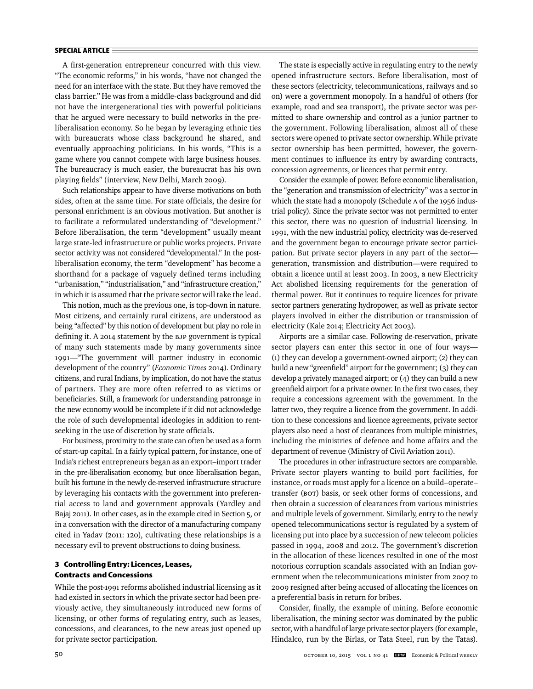A first-generation entrepreneur concurred with this view. "The economic reforms," in his words, "have not changed the need for an interface with the state. But they have removed the class barrier." He was from a middle-class background and did not have the intergenerational ties with powerful politicians that he argued were necessary to build networks in the preliberalisation economy. So he began by leveraging ethnic ties with bureaucrats whose class background he shared, and eventually approaching politicians. In his words, "This is a game where you cannot compete with large business houses. The bureaucracy is much easier, the bureaucrat has his own playing fields" (interview, New Delhi, March 2009).

Such relationships appear to have diverse motivations on both sides, often at the same time. For state officials, the desire for personal enrichment is an obvious motivation. But another is to facilitate a reformulated understanding of "development." Before liberalisation, the term "development" usually meant large state-led infrastructure or public works projects. Private sector activity was not considered "developmental." In the postliberalisation economy, the term "development" has become a shorthand for a package of vaguely defined terms including "urbanisation," "industrialisation," and "infrastructure creation," in which it is assumed that the private sector will take the lead.

This notion, much as the previous one, is top-down in nature. Most citizens, and certainly rural citizens, are understood as being "affected" by this notion of development but play no role in defining it. A 2014 statement by the BJP government is typical of many such statements made by many governments since 1991—"The government will partner industry in economic d evelopment of the country" (*Economic Times* 2014). Ordinary citizens, and rural Indians, by implication, do not have the status of partners. They are more often referred to as victims or beneficiaries. Still, a framework for understanding patronage in the new economy would be incomplete if it did not acknowledge the role of such developmental ideologies in addition to rentseeking in the use of discretion by state officials.

For business, proximity to the state can often be used as a form of start-up capital. In a fairly typical pattern, for instance, one of India's richest entrepreneurs began as an export–import trader in the pre-liberalisation economy, but once liberalisation began, built his fortune in the newly de-reserved infrastructure structure by leveraging his contacts with the government into preferential access to land and government approvals (Yardley and Bajaj 2011). In other cases, as in the example cited in Section 5, or in a conversation with the director of a manufacturing company cited in Yadav (2011: 120), cultivating these relationships is a necessary evil to prevent obstructions to doing business.

# **3 Controlling Entry: Licences, Leases, Contracts and Concessions**

While the post-1991 reforms abolished industrial licensing as it had existed in sectors in which the private sector had been previously active, they simultaneously introduced new forms of licensing, or other forms of regulating entry, such as leases, concessions, and clearances, to the new areas just opened up for private sector participation.

The state is especially active in regulating entry to the newly opened infrastructure sectors. Before liberalisation, most of these sectors (electricity, telecommunications, railways and so on) were a government monopoly. In a handful of others (for example, road and sea transport), the private sector was permitted to share ownership and control as a junior partner to the government. Following liberalisation, almost all of these sectors were opened to private sector ownership.While private sector ownership has been permitted, however, the government continues to influence its entry by awarding contracts, concession agreements, or licences that permit entry.

Consider the example of power. Before economic liberalisation, the "generation and transmission of electricity" was a sector in which the state had a monopoly (Schedule A of the 1956 industrial policy). Since the private sector was not permitted to enter this sector, there was no question of industrial licensing. In 1991, with the new industrial policy, electricity was de-reserved and the government began to encourage private sector participation. But private sector players in any part of the sector generation, transmission and distribution—were required to obtain a licence until at least 2003. In 2003, a new Electricity Act abolished licensing requirements for the generation of thermal power. But it continues to require licences for private sector partners generating hydropower, as well as private sector players involved in either the distribution or transmission of electricity (Kale 2014; Electricity Act 2003).

Airports are a similar case. Following de-reservation, private sector players can enter this sector in one of four ways— (1) they can develop a government-owned airport; (2) they can build a new "greenfield" airport for the government; (3) they can develop a privately managed airport; or (4) they can build a new greenfield airport for a private owner. In the first two cases, they require a concessions agreement with the government. In the latter two, they require a licence from the government. In addition to these concessions and licence agreements, private sector players also need a host of clearances from multiple ministries, including the ministries of defence and home affairs and the department of revenue (Ministry of Civil Aviation 2011).

The procedures in other infrastructure sectors are comparable. Private sector players wanting to build port facilities, for instance, or roads must apply for a licence on a build–operate– transfer (BOT) basis, or seek other forms of concessions, and then obtain a succession of clearances from various ministries and multiple levels of government. Similarly, entry to the newly opened telecommunications sector is regulated by a system of licensing put into place by a succession of new telecom policies passed in 1994, 2008 and 2012. The government's discretion in the allocation of these licences resulted in one of the most notorious corruption scandals associated with an Indian government when the telecommunications minister from 2007 to 2009 resigned after being accused of allocating the licences on a preferential basis in return for bribes.

Consider, finally, the example of mining. Before economic liberalisation, the mining sector was dominated by the public sector, with a handful of large private sector players (for example, Hindalco, run by the Birlas, or Tata Steel, run by the Tatas).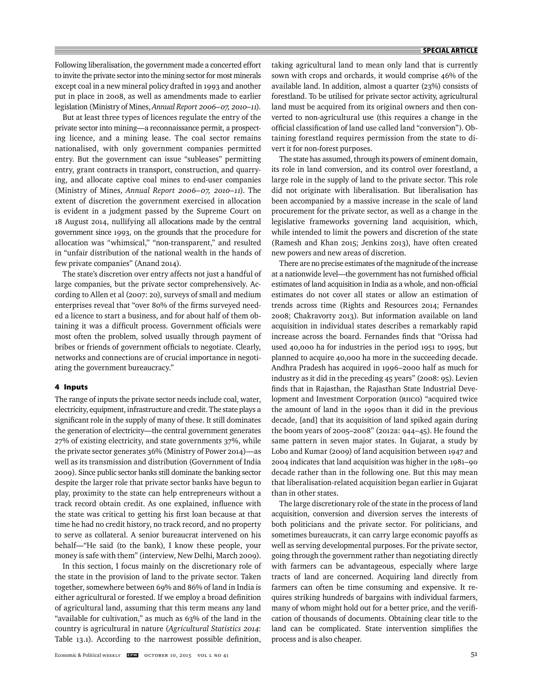Following liberalisation, the government made a concerted effort to invite the private sector into the mining sector for most minerals except coal in a new mineral policy drafted in 1993 and another put in place in 2008, as well as amendments made to earlier legislation (Ministry of Mines, *Annual Report 2006–07, 2010–11*).

But at least three types of licences regulate the entry of the private sector into mining—a reconnaissance permit, a prospecting licence, and a mining lease. The coal sector remains nationalised, with only government companies permitted entry. But the government can issue "subleases" permitting entry, grant contracts in transport, construction, and quarrying, and allocate captive coal mines to end-user companies (Ministry of Mines, *Annual Report 2006–07, 2010–11*). The extent of discretion the government exercised in allocation is evident in a judgment passed by the Supreme Court on 18 August 2014, nullifying all allocations made by the central government since 1993, on the grounds that the procedure for allocation was "whimsical," "non-transparent," and resulted in "unfair distribution of the national wealth in the hands of few private companies" (Anand 2014).

The state's discretion over entry affects not just a handful of large companies, but the private sector comprehensively. According to Allen et al (2007: 20), surveys of small and medium enterprises reveal that "over 80% of the firms surveyed needed a licence to start a business, and for about half of them obtaining it was a difficult process. Government officials were most often the problem, solved usually through payment of bribes or friends of government officials to negotiate. Clearly, networks and connections are of crucial importance in negotiating the government bureaucracy."

# **4 Inputs**

The range of inputs the private sector needs include coal, water, electricity, equipment, infrastructure and credit. The state plays a significant role in the supply of many of these. It still dominates the generation of electricity—the central government generates 27% of existing electricity, and state governments 37%, while the private sector generates 36% (Ministry of Power 2014)—as well as its transmission and distribution (Government of India 2009). Since public sector banks still dominate the banking sector despite the larger role that private sector banks have begun to play, proximity to the state can help entrepreneurs without a track record obtain credit. As one explained, influence with the state was critical to getting his first loan because at that time he had no credit history, no track record, and no property to serve as collateral. A senior bureaucrat intervened on his behalf—"He said (to the bank), I know these people, your money is safe with them" (interview, New Delhi, March 2009).

In this section, I focus mainly on the discretionary role of the state in the provision of land to the private sector. Taken together, somewhere between 69% and 86% of land in India is either agricultural or forested. If we employ a broad definition of agricultural land, assuming that this term means any land "available for cultivation," as much as 63% of the land in the country is agricultural in nature (*Agricultural Statistics 2014*: Table 13.1). According to the narrowest possible definition,

taking agricultural land to mean only land that is currently sown with crops and orchards, it would comprise 46% of the available land. In addition, almost a quarter (23%) consists of forestland. To be utilised for private sector activity, agricultural land must be acquired from its original owners and then converted to non-agricultural use (this requires a change in the official classification of land use called land "conversion"). Obtaining forestland requires permission from the state to divert it for non-forest purposes.

The state has assumed, through its powers of eminent domain, its role in land conversion, and its control over forestland, a large role in the supply of land to the private sector. This role did not originate with liberalisation. But liberalisation has been accompanied by a massive increase in the scale of land procurement for the private sector, as well as a change in the legislative frameworks governing land acquisition, which, while intended to limit the powers and discretion of the state (Ramesh and Khan 2015; Jenkins 2013), have often created new powers and new areas of discretion.

There are no precise estimates of the magnitude of the increase at a nationwide level—the government has not furnished official estimates of land acquisition in India as a whole, and non-official estimates do not cover all states or allow an estimation of trends across time (Rights and Resources 2014; Fernandes 2008; Chakravorty 2013). But information available on land acquisition in individual states describes a remarkably rapid increase across the board. Fernandes finds that "Orissa had used 40,000 ha for industries in the period 1951 to 1995, but planned to acquire 40,000 ha more in the succeeding decade. Andhra Pradesh has acquired in 1996–2000 half as much for industry as it did in the preceding 45 years" (2008: 95). Levien finds that in Rajasthan, the Rajasthan State Industrial Development and Investment Corporation (RIICO) "acquired twice the amount of land in the 1990s than it did in the previous decade, [and] that its acquisition of land spiked again during the boom years of 2005–2008" (2012a: 944–45). He found the same pattern in seven major states. In Gujarat, a study by Lobo and Kumar (2009) of land acquisition between 1947 and 2004 indicates that land acquisition was higher in the 1981–90 decade rather than in the following one. But this may mean that liberalisation-related acquisition began earlier in Gujarat than in other states.

The large discretionary role of the state in the process of land acquisition, conversion and diversion serves the interests of both politicians and the private sector. For politicians, and sometimes bureaucrats, it can carry large economic payoffs as well as serving developmental purposes. For the private sector, going through the government rather than negotiating directly with farmers can be advantageous, especially where large tracts of land are concerned. Acquiring land directly from farmers can often be time consuming and expensive. It requires striking hundreds of bargains with individual farmers, many of whom might hold out for a better price, and the verification of thousands of documents. Obtaining clear title to the land can be complicated. State intervention simplifies the process and is also cheaper.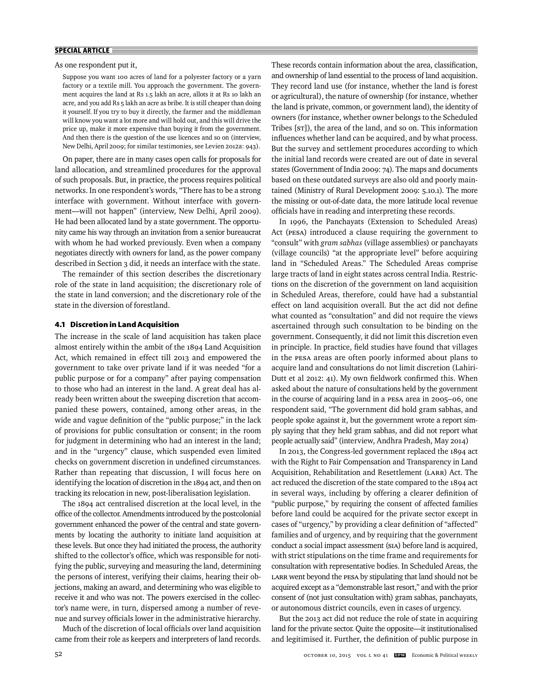As one respondent put it,

Suppose you want 100 acres of land for a polyester factory or a yarn factory or a textile mill. You approach the government. The government acquires the land at Rs 1.5 lakh an acre, allots it at Rs 10 lakh an acre, and you add Rs 5 lakh an acre as bribe. It is still cheaper than doing it yourself. If you try to buy it directly, the farmer and the middleman will know you want a lot more and will hold out, and this will drive the price up, make it more expensive than buying it from the government. And then there is the question of the use licences and so on (interview, New Delhi, April 2009; for similar testimonies, see Levien 2012a: 943).

On paper, there are in many cases open calls for proposals for land allocation, and streamlined procedures for the approval of such proposals. But, in practice, the process requires political networks. In one respondent's words, "There has to be a strong interface with government. Without interface with government—will not happen" (interview, New Delhi, April 2009). He had been allocated land by a state government. The opportunity came his way through an invitation from a senior bureaucrat with whom he had worked previously. Even when a company negotiates directly with owners for land, as the power company described in Section 3 did, it needs an interface with the state.

The remainder of this section describes the discretionary role of the state in land acquisition; the discretionary role of the state in land conversion; and the discretionary role of the state in the diversion of forestland.

# **4.1 Discretion in Land Acquisition**

The increase in the scale of land acquisition has taken place almost entirely within the ambit of the 1894 Land Acquisition Act, which remained in effect till 2013 and empowered the government to take over private land if it was needed "for a public purpose or for a company" after paying compensation to those who had an interest in the land. A great deal has already been written about the sweeping discretion that accompanied these powers, contained, among other areas, in the wide and vague definition of the "public purpose;" in the lack of provisions for public consultation or consent; in the room for judgment in determining who had an interest in the land; and in the "urgency" clause, which suspended even limited checks on government discretion in undefined circumstances. Rather than repeating that discussion, I will focus here on identifying the location of discretion in the 1894 act, and then on tracking its relocation in new, post-liberalisation legislation.

The 1894 act centralised discretion at the local level, in the office of the collector. Amendments introduced by the postcolonial government enhanced the power of the central and state governments by locating the authority to initiate land acquisition at these levels. But once they had initiated the process, the authority shifted to the collector's office, which was responsible for notifying the public, surveying and measuring the land, determining the persons of interest, verifying their claims, hearing their objections, making an award, and determining who was eligible to receive it and who was not. The powers exercised in the collector's name were, in turn, dispersed among a number of revenue and survey officials lower in the administrative hierarchy.

Much of the discretion of local officials over land acquisition came from their role as keepers and interpreters of land records. These records contain information about the area, classification, and ownership of land essential to the process of land acquisition. They record land use (for instance, whether the land is forest or agricultural), the nature of ownership (for instance, whether the land is private, common, or government land), the identity of owners (for instance, whether owner belongs to the Scheduled Tribes [ST]), the area of the land, and so on. This information influences whether land can be acquired, and by what process. But the survey and settlement procedures according to which the initial land records were created are out of date in several states (Government of India 2009: 74). The maps and documents based on these outdated surveys are also old and poorly maintained (Ministry of Rural Development 2009: 5.10.1). The more the missing or out-of-date data, the more latitude local revenue officials have in reading and interpreting these records.

In 1996, the Panchayats (Extension to Scheduled Areas) Act (PESA) introduced a clause requiring the government to "consult" with *gram sabhas* (village assemblies) or panchayats (village councils) "at the appropriate level" before acquiring land in "Scheduled Areas." The Scheduled Areas comprise large tracts of land in eight states across central India. Restrictions on the discretion of the government on land acquisition in Scheduled Areas, therefore, could have had a substantial effect on land acquisition overall. But the act did not define what counted as "consultation" and did not require the views ascertained through such consultation to be binding on the government. Consequently, it did not limit this discretion even in principle. In practice, field studies have found that villages in the PESA areas are often poorly informed about plans to acquire land and consultations do not limit discretion (Lahiri-Dutt et al 2012: 41). My own fieldwork confirmed this. When asked about the nature of consultations held by the government in the course of acquiring land in a PESA area in 2005–06, one respondent said, "The government did hold gram sabhas, and people spoke against it, but the government wrote a report simply saying that they held gram sabhas, and did not report what people actually said" (interview, Andhra Pradesh, May 2014)

In 2013, the Congress-led government replaced the 1894 act with the Right to Fair Compensation and Transparency in Land Acquisition, Rehabilitation and Resettlement (LARR) Act. The act reduced the discretion of the state compared to the 1894 act in several ways, including by offering a clearer definition of "public purpose," by requiring the consent of affected families before land could be acquired for the private sector except in cases of "urgency," by providing a clear definition of "affected" families and of urgency, and by requiring that the government conduct a social impact assessment (SIA) before land is acquired, with strict stipulations on the time frame and requirements for consultation with representative bodies. In Scheduled Areas, the LARR went beyond the PESA by stipulating that land should not be acquired except as a "demonstrable last resort," and with the prior consent of (not just consultation with) gram sabhas, panchayats, or autonomous district councils, even in cases of urgency.

But the 2013 act did not reduce the role of state in acquiring land for the private sector. Quite the opposite—it institutionalised and legitimised it. Further, the definition of public purpose in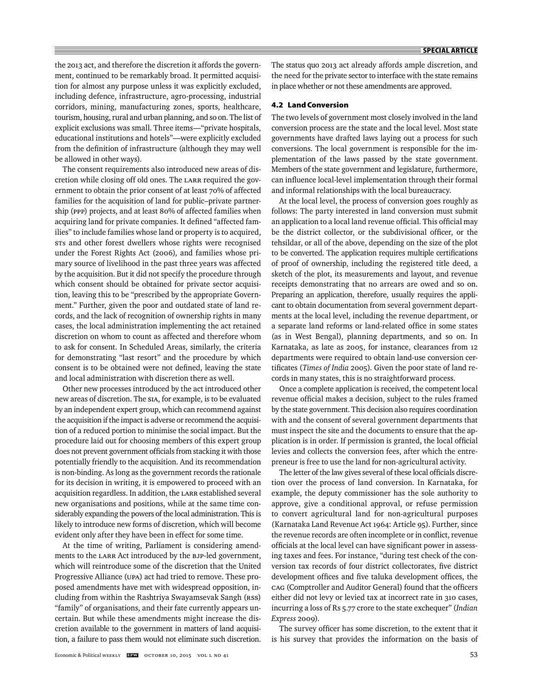the 2013 act, and therefore the discretion it affords the government, continued to be remarkably broad. It permitted acquisition for almost any purpose unless it was explicitly excluded, including defence, infrastructure, agro-processing, industrial corridors, mining, manufacturing zones, sports, healthcare, tourism, housing, rural and urban planning, and so on. The list of explicit exclusions was small. Three items—"private hospitals, educational institutions and hotels"—were explicitly excluded from the definition of infrastructure (although they may well be allowed in other ways).

The consent requirements also introduced new areas of discretion while closing off old ones. The LARR required the government to obtain the prior consent of at least 70% of affected families for the acquisition of land for public–private partnership (PPP) projects, and at least 80% of affected families when acquiring land for private companies. It defined "affected families" to include families whose land or property is to acquired, STs and other forest dwellers whose rights were recognised under the Forest Rights Act (2006), and families whose primary source of livelihood in the past three years was affected by the acquisition. But it did not specify the procedure through which consent should be obtained for private sector acquisition, leaving this to be "prescribed by the appropriate Government." Further, given the poor and outdated state of land records, and the lack of recognition of ownership rights in many cases, the local administration implementing the act retained discretion on whom to count as affected and therefore whom to ask for consent. In Scheduled Areas, similarly, the criteria for demonstrating "last resort" and the procedure by which consent is to be obtained were not defined, leaving the state and local administration with discretion there as well.

Other new processes introduced by the act introduced other new areas of discretion. The SIA, for example, is to be evaluated by an independent expert group, which can recommend against the acquisition if the impact is adverse or recommend the acquisition of a reduced portion to minimise the social impact. But the procedure laid out for choosing members of this expert group does not prevent government officials from stacking it with those potentially friendly to the acquisition. And its recommendation is non-binding. As long as the government records the rationale for its decision in writing, it is empowered to proceed with an acquisition regardless. In addition, the LARR established several new organisations and positions, while at the same time considerably expanding the powers of the local administration. This is likely to introduce new forms of discretion, which will become evident only after they have been in effect for some time.

At the time of writing, Parliament is considering amendments to the LARR Act introduced by the BJP-led government, which will reintroduce some of the discretion that the United Progressive Alliance (UPA) act had tried to remove. These proposed amendments have met with widespread opposition, including from within the Rashtriya Swayamsevak Sangh (RSS) "family" of organisations, and their fate currently appears uncertain. But while these amendments might increase the discretion available to the government in matters of land acquisition, a failure to pass them would not eliminate such discretion. The status quo 2013 act already affords ample discretion, and the need for the private sector to interface with the state remains in place whether or not these amendments are approved.

## **4.2 Land Conversion**

The two levels of government most closely involved in the land conversion process are the state and the local level. Most state governments have drafted laws laying out a process for such conversions. The local government is responsible for the implementation of the laws passed by the state government. Members of the state government and legislature, furthermore, can influence local-level implementation through their formal and informal relationships with the local bureaucracy.

At the local level, the process of conversion goes roughly as follows: The party interested in land conversion must submit an application to a local land revenue official. This official may be the district collector, or the subdivisional officer, or the tehsildar, or all of the above, depending on the size of the plot to be converted. The application requires multiple certifications of proof of ownership, including the registered title deed, a sketch of the plot, its measurements and layout, and revenue receipts demonstrating that no arrears are owed and so on. Preparing an application, therefore, usually requires the applicant to obtain documentation from several government departments at the local level, including the revenue department, or a separate land reforms or land-related office in some states (as in West Bengal), planning departments, and so on. In Karnataka, as late as 2005, for instance, clearances from 12 departments were required to obtain land-use conversion certificates (Times of India 2005). Given the poor state of land records in many states, this is no straightforward process.

Once a complete application is received, the competent local revenue official makes a decision, subject to the rules framed by the state government. This decision also requires coordination with and the consent of several government departments that must inspect the site and the documents to ensure that the application is in order. If permission is granted, the local official levies and collects the conversion fees, after which the entrepreneur is free to use the land for non-agricultural activity.

The letter of the law gives several of these local officials discretion over the process of land conversion. In Karnataka, for example, the deputy commissioner has the sole authority to approve, give a conditional approval, or refuse permission to convert agricultural land for non-agricultural purposes (Karnataka Land Revenue Act 1964: Article 95). Further, since the revenue records are often incomplete or in conflict, revenue officials at the local level can have significant power in assessing taxes and fees. For instance, "during test check of the conversion tax records of four district collectorates, five district development offices and five taluka development offices, the CAG (Comptroller and Auditor General) found that the officers either did not levy or levied tax at incorrect rate in 310 cases, incurring a loss of Rs 5.77 crore to the state exchequer" (*Indian Express* 2009).

The survey officer has some discretion, to the extent that it is his survey that provides the information on the basis of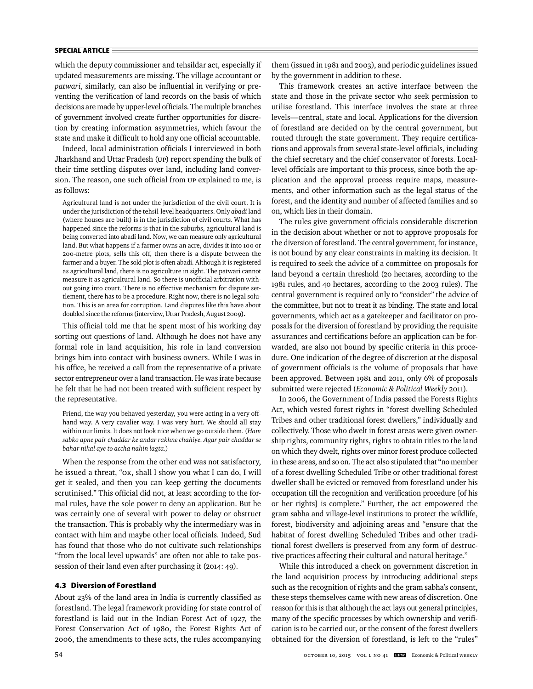which the deputy commissioner and tehsildar act, especially if updated measurements are missing. The village accountant or *patwari*, similarly, can also be influential in verifying or preventing the verification of land records on the basis of which decisions are made by upper-level officials. The multiple branches of government involved create further opportunities for discretion by creating information asymmetries, which favour the state and make it difficult to hold any one official accountable.

Indeed, local administration officials I interviewed in both Jharkhand and Uttar Pradesh (UP) report spending the bulk of their time settling disputes over land, including land conversion. The reason, one such official from UP explained to me, is as follows:

Agricultural land is not under the jurisdiction of the civil court. It is under the jurisdiction of the tehsil-level headquarters. Only *abadi* land (where houses are built) is in the jurisdiction of civil courts. What has happened since the reforms is that in the suburbs, agricultural land is being converted into abadi land. Now, we can measure only agricultural land. But what happens if a farmer owns an acre, divides it into 100 or 200-metre plots, sells this off, then there is a dispute between the farmer and a buyer. The sold plot is often abadi. Although it is registered as agricultural land, there is no agriculture in sight. The patwari cannot measure it as agricultural land. So there is unofficial arbitration without going into court. There is no effective mechanism for dispute settlement, there has to be a procedure. Right now, there is no legal solution. This is an area for corruption. Land disputes like this have about doubled since the reforms (interview, Uttar Pradesh, August 2009**).**

This official told me that he spent most of his working day sorting out questions of land. Although he does not have any formal role in land acquisition, his role in land conversion brings him into contact with business owners. While I was in his office, he received a call from the representative of a private sector entrepreneur over a land transaction. He was irate because he felt that he had not been treated with sufficient respect by the representative.

Friend, the way you behaved yesterday, you were acting in a very offhand way. A very cavalier way. I was very hurt. We should all stay within our limits. It does not look nice when we go outside them. (*Ham sabko apne pair chaddar ke andar rakhne chahiye. Agar pair chaddar se bahar nikal aye to accha nahin lagta.*)

When the response from the other end was not satisfactory, he issued a threat, "OK, shall I show you what I can do, I will get it sealed, and then you can keep getting the documents scrutinised." This official did not, at least according to the formal rules, have the sole power to deny an application. But he was certainly one of several with power to delay or obstruct the transaction. This is probably why the intermediary was in contact with him and maybe other local officials. Indeed, Sud has found that those who do not cultivate such relationships "from the local level upwards" are often not able to take possession of their land even after purchasing it (2014: 49).

## **4.3 Diversion of Forestland**

About 23% of the land area in India is currently classified as forestland. The legal framework providing for state control of forestland is laid out in the Indian Forest Act of 1927, the Forest Conservation Act of 1980, the Forest Rights Act of 2006, the amendments to these acts, the rules accompanying

them (issued in 1981 and 2003), and periodic guidelines issued by the government in addition to these.

This framework creates an active interface between the state and those in the private sector who seek permission to utilise forestland. This interface involves the state at three levels—central, state and local. Applications for the diversion of forestland are decided on by the central government, but routed through the state government. They require certifications and approvals from several state-level officials, including the chief secretary and the chief conservator of forests. Locallevel officials are important to this process, since both the application and the approval process require maps, measurements, and other information such as the legal status of the forest, and the identity and number of affected families and so on, which lies in their domain.

The rules give government officials considerable discretion in the decision about whether or not to approve proposals for the diversion of forestland. The central government, for instance, is not bound by any clear constraints in making its decision. It is required to seek the advice of a committee on proposals for land beyond a certain threshold (20 hectares, according to the 1981 rules, and 40 hectares, according to the 2003 rules). The central government is required only to "consider" the advice of the committee, but not to treat it as binding. The state and local governments, which act as a gatekeeper and facilitator on proposals for the diversion of forestland by providing the requisite assurances and certifications before an application can be forwarded, are also not bound by specific criteria in this procedure. One indication of the degree of discretion at the disposal of government officials is the volume of proposals that have been approved. Between 1981 and 2011, only 6% of proposals submitted were rejected (*Economic & Political Weekly* 2011).

In 2006, the Government of India passed the Forests Rights Act, which vested forest rights in "forest dwelling Scheduled Tribes and other traditional forest dwellers," individually and collectively. Those who dwelt in forest areas were given ownership rights, community rights, rights to obtain titles to the land on which they dwelt, rights over minor forest produce collected in these areas, and so on. The act also stipulated that "no member of a forest dwelling Scheduled Tribe or other traditional forest dweller shall be evicted or removed from forestland under his occupation till the recognition and verification procedure [of his or her rights] is complete." Further, the act empowered the gram sabha and village-level institutions to protect the wildlife, forest, biodiversity and adjoining areas and "ensure that the habitat of forest dwelling Scheduled Tribes and other traditional forest dwellers is preserved from any form of destructive practices affecting their cultural and natural heritage."

While this introduced a check on government discretion in the land acquisition process by introducing additional steps such as the recognition of rights and the gram sabha's consent, these steps themselves came with new areas of discretion. One reason for this is that although the act lays out general principles, many of the specific processes by which ownership and verification is to be carried out, or the consent of the forest dwellers obtained for the diversion of forestland, is left to the "rules"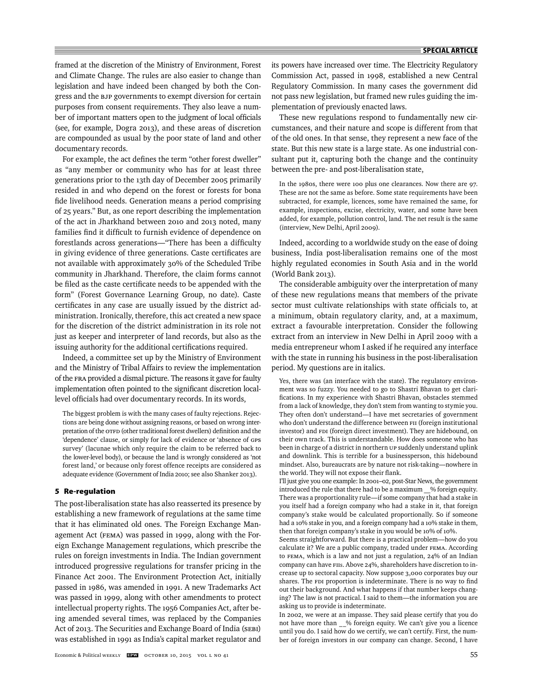framed at the discretion of the Ministry of Environment, Forest and Climate Change. The rules are also easier to change than legislation and have indeed been changed by both the Congress and the BJP governments to exempt diversion for certain purposes from consent requirements. They also leave a number of important matters open to the judgment of local officials (see, for example, Dogra 2013), and these areas of discretion are compounded as usual by the poor state of land and other documentary records.

For example, the act defines the term "other forest dweller" as "any member or community who has for at least three generations prior to the 13th day of December 2005 primarily resided in and who depend on the forest or forests for bona fide livelihood needs. Generation means a period comprising of 25 years." But, as one report describing the implementation of the act in Jharkhand between 2010 and 2013 noted, many families find it difficult to furnish evidence of dependence on forestlands across generations—"There has been a difficulty in giving evidence of three generations. Caste certificates are not available with approximately 30% of the Scheduled Tribe community in Jharkhand. Therefore, the claim forms cannot be filed as the caste certificate needs to be appended with the form" (Forest Governance Learning Group, no date). Caste certificates in any case are usually issued by the district administration. Ironically, therefore, this act created a new space for the discretion of the district administration in its role not just as keeper and interpreter of land records, but also as the issuing authority for the additional certifications required.

Indeed, a committee set up by the Ministry of Environment and the Ministry of Tribal Affairs to review the implementation of the FRA provided a dismal picture. The reasons it gave for faulty implementation often pointed to the significant discretion locallevel officials had over documentary records. In its words,

The biggest problem is with the many cases of faulty rejections. Rejections are being done without assigning reasons, or based on wrong interpretation of the OTFD (other traditional forest dwellers) definition and the 'dependence' clause, or simply for lack of evidence or 'absence of GPS survey' (lacunae which only require the claim to be referred back to the lower-level body), or because the land is wrongly considered as 'not forest land,' or because only forest offence receipts are considered as adequate evidence (Government of India 2010; see also Shanker 2013).

# **5 Re-regulation**

The post-liberalisation state has also reasserted its presence by establishing a new framework of regulations at the same time that it has eliminated old ones. The Foreign Exchange Management Act (FEMA) was passed in 1999, along with the Foreign Exchange Management regulations, which prescribe the rules on foreign investments in India. The Indian government introduced progressive regulations for transfer pricing in the Finance Act 2001. The Environment Protection Act, initially passed in 1986, was amended in 1991. A new Trademarks Act was passed in 1999, along with other amendments to protect intellectual property rights. The 1956 Companies Act, after being amended several times, was replaced by the Companies Act of 2013. The Securities and Exchange Board of India (SEBI) was established in 1991 as India's capital market regulator and

its powers have increased over time. The Electricity Regulatory Commission Act, passed in 1998, established a new Central Regulatory Commission. In many cases the government did not pass new legislation, but framed new rules guiding the implementation of previously enacted laws.

These new regulations respond to fundamentally new circumstances, and their nature and scope is different from that of the old ones. In that sense, they represent a new face of the state. But this new state is a large state. As one **i**ndustrial consultant put it, capturing both the change and the continuity between the pre- and post-liberalisation state,

In the 1980s, there were 100 plus one clearances. Now there are 97. These are not the same as before. Some state requirements have been subtracted, for example, licences, some have remained the same, for example, inspections, excise, electricity, water, and some have been added, for example, pollution control, land. The net result is the same (interview, New Delhi, April 2009).

Indeed, according to a worldwide study on the ease of doing business, India post-liberalisation remains one of the most highly regulated economies in South Asia and in the world (World Bank 2013).

The considerable ambiguity over the interpretation of many of these new regulations means that members of the private sector must cultivate relationships with state officials to, at a minimum, obtain regulatory clarity, and, at a maximum, extract a favourable interpretation. Consider the following extract from an interview in New Delhi in April 2009 with a media entrepreneur whom I asked if he required any interface with the state in running his business in the post-liberalisation period. My questions are in italics.

Yes, there was (an interface with the state). The regulatory environment was so fuzzy. You needed to go to Shastri Bhavan to get clarifications. In my experience with Shastri Bhavan, obstacles stemmed from a lack of knowledge, they don't stem from wanting to stymie you. They often don't understand—I have met secretaries of government who don't understand the difference between FII (foreign institutional investor) and FDI (foreign direct investment). They are hidebound, on their own track. This is understandable. How does someone who has been in charge of a district in northern up suddenly understand uplink and downlink. This is terrible for a businessperson, this hidebound mindset. Also, bureaucrats are by nature not risk-taking—nowhere in the world. They will not expose their flank.

I'll just give you one example: In 2001–02, post-Star News, the government introduced the rule that there had to be a maximum % foreign equity. There was a proportionality rule—if some company that had a stake in you itself had a foreign company who had a stake in it, that foreign company's stake would be calculated proportionally. So if someone had a 10% stake in you, and a foreign company had a 10% stake in them, then that foreign company's stake in you would be 10% of 10%.

Seems straightforward. But there is a practical problem—how do you calculate it? We are a public company, traded under FEMA. According to FEMA, which is a law and not just a regulation, 24% of an Indian company can have FIIs. Above 24%, shareholders have discretion to increase up to sectoral capacity. Now suppose 3,000 corporates buy our shares. The FDI proportion is indeterminate. There is no way to find out their background. And what happens if that number keeps changing? The law is not practical. I said to them—the information you are asking us to provide is indeterminate.

In 2002, we were at an impasse. They said please certify that you do not have more than \_\_% foreign equity. We can't give you a licence until you do. I said how do we certify, we can't certify. First, the number of foreign investors in our company can change. Second, I have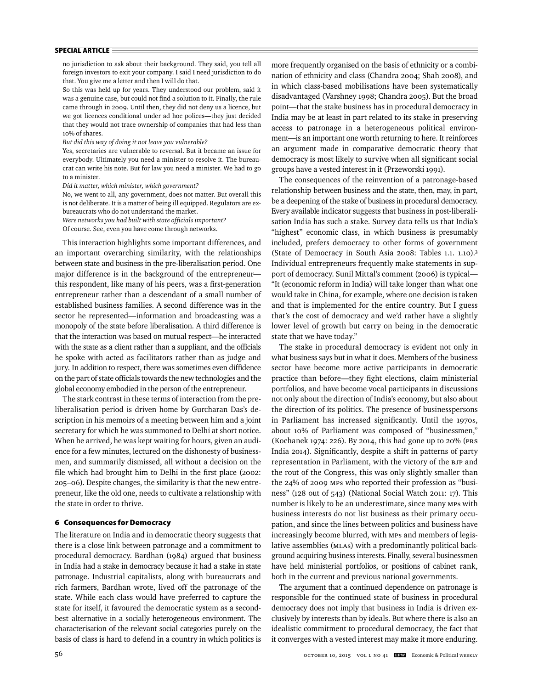no jurisdiction to ask about their background. They said, you tell all foreign investors to exit your company. I said I need jurisdiction to do that. You give me a letter and then I will do that.

So this was held up for years. They understood our problem, said it was a genuine case, but could not find a solution to it. Finally, the rule came through in 2009. Until then, they did not deny us a licence, but we got licences conditional under ad hoc polices—they just decided that they would not trace ownership of companies that had less than 10% of shares.

*But did this way of doing it not leave you vulnerable?* 

Yes, secretaries are vulnerable to reversal. But it became an issue for everybody. Ultimately you need a minister to resolve it. The bureaucrat can write his note. But for law you need a minister. We had to go to a minister.

*Did it matter, which minister, which government?*

No, we went to all, any government, does not matter. But overall this is not deliberate. It is a matter of being ill equipped. Regulators are exbureaucrats who do not understand the market.

Were networks you had built with state officials important?

Of course. See, even you have come through networks.

This interaction highlights some important differences, and an important overarching similarity, with the relationships between state and business in the pre-liberalisation period. One major difference is in the background of the entrepreneur this respondent, like many of his peers, was a first-generation entrepreneur rather than a descendant of a small number of established business families. A second difference was in the sector he represented—information and broadcasting was a monopoly of the state before liberalisation. A third difference is that the interaction was based on mutual respect—he interacted with the state as a client rather than a suppliant, and the officials he spoke with acted as facilitators rather than as judge and jury. In addition to respect, there was sometimes even diffidence on the part of state officials towards the new technologies and the global economy embodied in the person of the entrepreneur.

The stark contrast in these terms of interaction from the preliberalisation period is driven home by Gurcharan Das's description in his memoirs of a meeting between him and a joint secretary for which he was summoned to Delhi at short notice. When he arrived, he was kept waiting for hours, given an audience for a few minutes, lectured on the dishonesty of businessmen, and summarily dismissed, all without a decision on the file which had brought him to Delhi in the first place (2002: 205–06). Despite changes, the similarity is that the new entrepreneur, like the old one, needs to cultivate a relationship with the state in order to thrive.

# **6 Consequences for Democracy**

The literature on India and in democratic theory suggests that there is a close link between patronage and a commitment to procedural democracy. Bardhan (1984) argued that business in India had a stake in democracy because it had a stake in state patronage. Industrial capitalists, along with bureaucrats and rich farmers, Bardhan wrote, lived off the patronage of the state. While each class would have preferred to capture the state for itself, it favoured the democratic system as a secondbest alternative in a socially heterogeneous environment. The characterisation of the relevant social categories purely on the basis of class is hard to defend in a country in which politics is

more frequently organised on the basis of ethnicity or a combination of ethnicity and class (Chandra 2004; Shah 2008), and in which class-based mobilisations have been systematically disadvantaged (Varshney 1998; Chandra 2005). But the broad point—that the stake business has in procedural democracy in India may be at least in part related to its stake in preserving access to patronage in a heterogeneous political environment—is an important one worth returning to here. It reinforces an argument made in comparative democratic theory that democracy is most likely to survive when all significant social groups have a vested interest in it (Przeworski 1991).

The consequences of the reinvention of a patronage-based relationship between business and the state, then, may, in part, be a deepening of the stake of business in procedural democracy. Every available indicator suggests that business in post-liberalisation India has such a stake. Survey data tells us that India's "highest" economic class, in which business is presumably included, prefers democracy to other forms of government (State of Democracy in South Asia 2008: Tables 1.1. 1.10).3 Individual entrepreneurs frequently make statements in support of democracy. Sunil Mittal's comment (2006) is typical-"It (economic reform in India) will take longer than what one would take in China, for example, where one decision is taken and that is implemented for the entire country. But I guess that's the cost of democracy and we'd rather have a slightly lower level of growth but carry on being in the democratic state that we have today."

The stake in procedural democracy is evident not only in what business says but in what it does. Members of the business sector have become more active participants in democratic practice than before—they fight elections, claim ministerial portfolios, and have become vocal participants in discussions not only about the direction of India's economy, but also about the direction of its politics. The presence of businesspersons in Parliament has increased significantly. Until the 1970s, about 10% of Parliament was composed of "businessmen," (Kochanek 1974: 226). By 2014, this had gone up to 20% (PRS India 2014). Significantly, despite a shift in patterns of party representation in Parliament, with the victory of the BJP and the rout of the Congress, this was only slightly smaller than the 24% of 2009 MPs who reported their profession as "business" (128 out of 543) (National Social Watch 2011: 17). This number is likely to be an underestimate, since many MPs with business interests do not list business as their primary occupation, and since the lines between politics and business have increasingly become blurred, with MPs and members of legislative assemblies (MLAs) with a predominantly political background acquiring business interests. Finally, several businessmen have held ministerial portfolios, or positions of cabinet rank, both in the current and previous national governments.

The argument that a continued dependence on patronage is responsible for the continued state of business in procedural democracy does not imply that business in India is driven exclusively by interests than by ideals. But where there is also an idealistic commitment to procedural democracy, the fact that it converges with a vested interest may make it more enduring.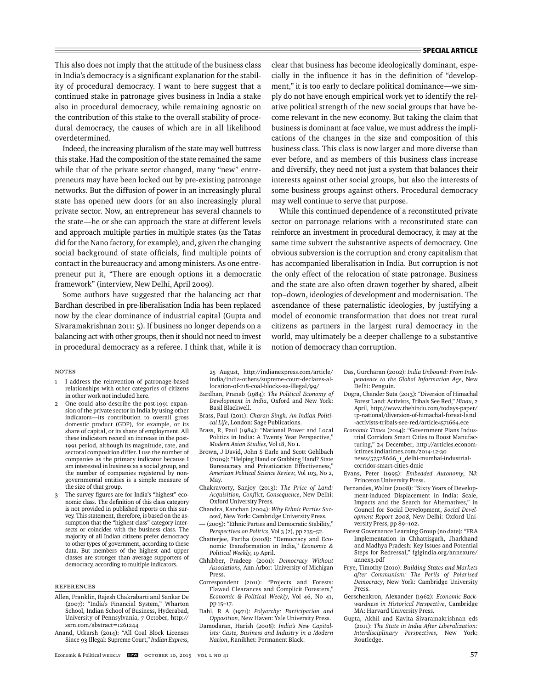This also does not imply that the attitude of the business class in India's democracy is a significant explanation for the stability of procedural democracy. I want to here suggest that a continued stake in patronage gives business in India a stake also in procedural democracy, while remaining agnostic on the contribution of this stake to the overall stability of procedural democracy, the causes of which are in all likelihood overdetermined.

Indeed, the increasing pluralism of the state may well buttress this stake. Had the composition of the state remained the same while that of the private sector changed, many "new" entrepreneurs may have been locked out by pre-existing patronage networks. But the diffusion of power in an increasingly plural state has opened new doors for an also increasingly plural private sector. Now, an entrepreneur has several channels to the state—he or she can approach the state at different levels and approach multiple parties in multiple states (as the Tatas did for the Nano factory, for example), and, given the changing social background of state officials, find multiple points of contact in the bureaucracy and among ministers. As one entrepreneur put it, "There are enough options in a democratic framework" (interview, New Delhi, April 2009).

Some authors have suggested that the balancing act that Bardhan described in pre-liberalisation India has been replaced now by the clear dominance of industrial capital (Gupta and Sivaramakrishnan 2011: 5). If business no longer depends on a balancing act with other groups, then it should not need to invest in procedural democracy as a referee. I think that, while it is

clear that business has become ideologically dominant, especially in the influence it has in the definition of "development," it is too early to declare political dominance—we simply do not have enough empirical work yet to identify the relative political strength of the new social groups that have become relevant in the new economy. But taking the claim that business is dominant at face value, we must address the implications of the changes in the size and composition of this business class. This class is now larger and more diverse than ever before, and as members of this business class increase and diversify, they need not just a system that balances their interests against other social groups, but also the interests of some business groups against others. Procedural democracy may well continue to serve that purpose.

While this continued dependence of a reconstituted private sector on patronage relations with a reconstituted state can reinforce an investment in procedural democracy, it may at the same time subvert the substantive aspects of democracy. One obvious subversion is the corruption and crony capitalism that has accompanied liberalisation in India. But corruption is not the only effect of the relocation of state patronage. Business and the state are also often drawn together by shared, albeit top–down, ideologies of development and modernisation. The ascendance of these paternalistic ideologies, by justifying a model of economic transformation that does not treat rural citizens as partners in the largest rural democracy in the world, may ultimately be a deeper challenge to a substantive notion of democracy than corruption.

#### **NOTES**

- 1 I address the reinvention of patronage-based relationships with other categories of citizens in other work not included here.
- One could also describe the post-1991 expansion of the private sector in India by using other indicators—its contribution to overall gross domestic product (GDP), for example, or its share of capital, or its share of employment. All these indicators record an increase in the post-1991 period, although its magnitude, rate, and sectoral composition differ. I use the number of companies as the primary indicator because I am interested in business as a social group, and the number of companies registered by nongovernmental entities is a simple measure of the size of that group.
- 3 The survey figures are for India's "highest" economic class. The definition of this class category is not provided in published reports on this survey. This statement, therefore, is based on the assumption that the "highest class" category intersects or coincides with the business class. The majority of all Indian citizens prefer democracy to other types of government, according to these data. But members of the highest and upper classes are stronger than average supporters of democracy, according to multiple indicators.

#### **REFERENCES**

- Allen, Franklin, Rajesh Chakrabarti and Sankar De (2007): "India's Financial System," Wharton School, Indian School of Business, Hyderabad, University of Pennsylvania, 7 October, http:// ssrn.com/abstract=1261244
- Anand, Utkarsh (2014): "All Coal Block Licenses Since 93 Illegal: Supreme Court," *Indian Express*,

25 August, http://indianexpress.com/article/ india/india-others/supreme-court-declares-allocation-of-218-coal-blocks-as-illegal/99/

- Bardhan, Pranab (1984): *The Political Economy of Development in India*, Oxford and New York: Basil Blackwell.
- Brass, Paul (2011): *Charan Singh: An Indian Political Life*, London: Sage Publications.
- Brass, R, Paul (1984): "National Power and Local Politics in India: A Twenty Year Perspective," *Modern Asian Studies*, Vol 18, No 1.
- Brown, J David, John S Earle and Scott Gehlbach (2009): "Helping Hand or Grabbing Hand? State Bureaucracy and Privatization Effectiveness," *American Political Science Review*, Vol 103, No 2, May.
- Chakravorty, Sanjoy (2013): *The Price of Land: Acquisition, Confl ict, Consequence*, New Delhi: Oxford University Press.
- Chandra, Kanchan (2004): *Why Ethnic Parties Succeed*, New York: Cambridge University Press. — (2005): "Ethnic Parties and Democratic Stability,"
- *Perspectives on Politics*, Vol 3 (2), pp 235–52.
- Chatterjee, Partha (2008): "Democracy and Economic Transformation in India," *Economic & Political Weekly*, 19 April.
- Chhibber, Pradeep (2001): *Democracy Without Associations*, Ann Arbor: University of Michigan Press.
- Correspondent (2011): "Projects and Forests: Flawed Clearances and Complicit Foresters," *Economic & Political Weekly*, Vol 46, No 41, pp 15–17.
- Dahl, R A (1971): *Polyarchy: Participation and Opposition*, New Haven: Yale University Press.
- Damodaran, Harish (2008): *India's New Capitalists: Caste, Business and Industry in a Modern Nation*, Ranikhet: Permanent Black.
- Das, Gurcharan (2002): *India Unbound: From Independence to the Global Information Age*, New Delhi: Penguin.
- Dogra, Chander Suta (2013): "Diversion of Himachal Forest Land: Activists, Tribals See Red," *Hindu*, 2 April, http://www.thehindu.com/todays-paper/ tp-national/diversion-of-himachal-forest-land -activists-tribals-see-red/article4571664.ece
- *Economic Times* (2014): "Government Plans Industrial Corridors Smart Cities to Boost Manufacturing," 24 December, http://articles.economictimes.indiatimes.com/2014-12-30 news/57528666\_1\_delhi-mumbai-industrial-

corridor-smart-cities-dmic

- Evans, Peter (1995): *Embedded Autonomy*, NJ: Princeton University Press.
- Fernandes, Walter (2008): "Sixty Years of Development-induced Displacement in India: Scale, Impacts and the Search for Alternatives," in Council for Social Development, *Social Development Report 2008*, New Delhi: Oxford University Press, pp 89–102**.**
- Forest Governance Learning Group (no date): "FRA Implementation in Chhattisgarh, Jharkhand and Madhya Pradesh: Key Issues and Potential Steps for Redressal," fglgindia.org/annexure/ annex3.pdf
- Frye, Timothy (2010): *Building States and Markets after Communism: The Perils of Polarised Democracy*, New York: Cambridge University Press.
- Gerschenkron, Alexander (1962): *Economic Backwardness in Historical Perspective*, Cambridge MA: Harvard University Press.
- Gupta, Akhil and Kavita Sivaramakrishnan eds (2011): *The State in India After Liberalization: Interdisciplinary Perspectives*, New York: Routledge.